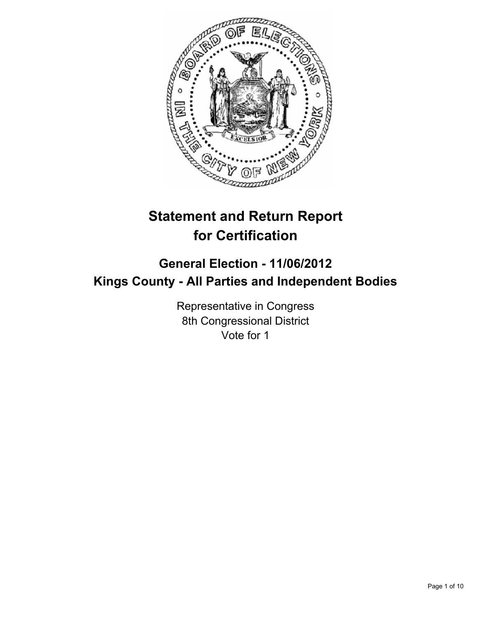

# **Statement and Return Report for Certification**

# **General Election - 11/06/2012 Kings County - All Parties and Independent Bodies**

Representative in Congress 8th Congressional District Vote for 1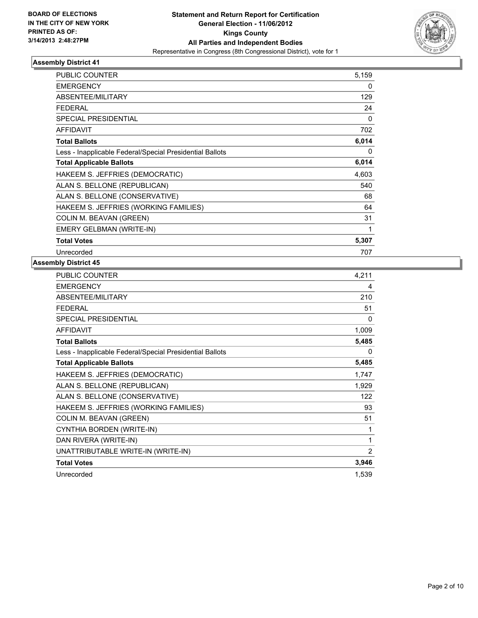

| <b>PUBLIC COUNTER</b>                                    | 5,159 |
|----------------------------------------------------------|-------|
| <b>EMERGENCY</b>                                         | 0     |
| ABSENTEE/MILITARY                                        | 129   |
| <b>FEDERAL</b>                                           | 24    |
| <b>SPECIAL PRESIDENTIAL</b>                              | 0     |
| <b>AFFIDAVIT</b>                                         | 702   |
| <b>Total Ballots</b>                                     | 6,014 |
| Less - Inapplicable Federal/Special Presidential Ballots | 0     |
| <b>Total Applicable Ballots</b>                          | 6,014 |
| HAKEEM S. JEFFRIES (DEMOCRATIC)                          | 4,603 |
| ALAN S. BELLONE (REPUBLICAN)                             | 540   |
| ALAN S. BELLONE (CONSERVATIVE)                           | 68    |
| HAKEEM S. JEFFRIES (WORKING FAMILIES)                    | 64    |
| COLIN M. BEAVAN (GREEN)                                  | 31    |
| EMERY GELBMAN (WRITE-IN)                                 | 1     |
| <b>Total Votes</b>                                       | 5,307 |
| Unrecorded                                               | 707   |

| PUBLIC COUNTER                                           | 4,211 |
|----------------------------------------------------------|-------|
| <b>EMERGENCY</b>                                         | 4     |
| ABSENTEE/MILITARY                                        | 210   |
| <b>FEDERAL</b>                                           | 51    |
| <b>SPECIAL PRESIDENTIAL</b>                              | 0     |
| <b>AFFIDAVIT</b>                                         | 1,009 |
| <b>Total Ballots</b>                                     | 5,485 |
| Less - Inapplicable Federal/Special Presidential Ballots | 0     |
| <b>Total Applicable Ballots</b>                          | 5,485 |
| HAKEEM S. JEFFRIES (DEMOCRATIC)                          | 1,747 |
| ALAN S. BELLONE (REPUBLICAN)                             | 1,929 |
| ALAN S. BELLONE (CONSERVATIVE)                           | 122   |
| HAKEEM S. JEFFRIES (WORKING FAMILIES)                    | 93    |
| COLIN M. BEAVAN (GREEN)                                  | 51    |
| CYNTHIA BORDEN (WRITE-IN)                                | 1     |
| DAN RIVERA (WRITE-IN)                                    | 1     |
| UNATTRIBUTABLE WRITE-IN (WRITE-IN)                       | 2     |
| <b>Total Votes</b>                                       | 3,946 |
| Unrecorded                                               | 1,539 |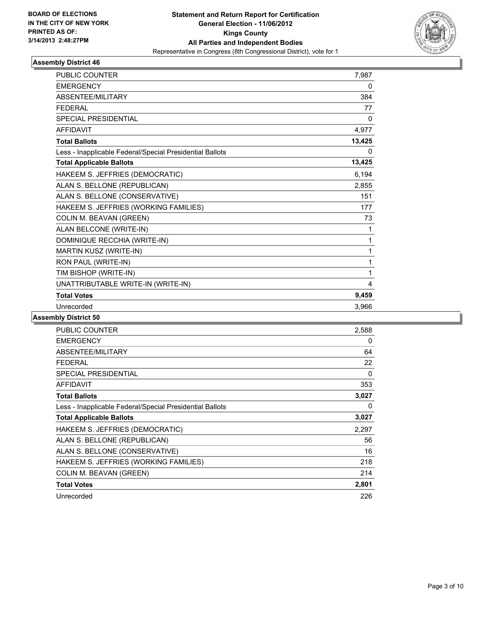

| <b>PUBLIC COUNTER</b>                                    | 7,987  |
|----------------------------------------------------------|--------|
| <b>EMERGENCY</b>                                         | 0      |
| ABSENTEE/MILITARY                                        | 384    |
| <b>FEDERAL</b>                                           | 77     |
| <b>SPECIAL PRESIDENTIAL</b>                              | 0      |
| <b>AFFIDAVIT</b>                                         | 4,977  |
| <b>Total Ballots</b>                                     | 13,425 |
| Less - Inapplicable Federal/Special Presidential Ballots | 0      |
| <b>Total Applicable Ballots</b>                          | 13,425 |
| HAKEEM S. JEFFRIES (DEMOCRATIC)                          | 6,194  |
| ALAN S. BELLONE (REPUBLICAN)                             | 2,855  |
| ALAN S. BELLONE (CONSERVATIVE)                           | 151    |
| HAKEEM S. JEFFRIES (WORKING FAMILIES)                    | 177    |
| COLIN M. BEAVAN (GREEN)                                  | 73     |
| ALAN BELCONE (WRITE-IN)                                  | 1      |
| DOMINIQUE RECCHIA (WRITE-IN)                             | 1      |
| MARTIN KUSZ (WRITE-IN)                                   | 1      |
| RON PAUL (WRITE-IN)                                      | 1      |
| TIM BISHOP (WRITE-IN)                                    | 1      |
| UNATTRIBUTABLE WRITE-IN (WRITE-IN)                       | 4      |
| <b>Total Votes</b>                                       | 9,459  |
| Unrecorded                                               | 3,966  |

| <b>PUBLIC COUNTER</b>                                    | 2,588 |
|----------------------------------------------------------|-------|
| <b>EMERGENCY</b>                                         | 0     |
| ABSENTEE/MILITARY                                        | 64    |
| <b>FEDERAL</b>                                           | 22    |
| <b>SPECIAL PRESIDENTIAL</b>                              | 0     |
| <b>AFFIDAVIT</b>                                         | 353   |
| <b>Total Ballots</b>                                     | 3,027 |
| Less - Inapplicable Federal/Special Presidential Ballots | 0     |
| <b>Total Applicable Ballots</b>                          | 3,027 |
| HAKEEM S. JEFFRIES (DEMOCRATIC)                          | 2,297 |
| ALAN S. BELLONE (REPUBLICAN)                             | 56    |
| ALAN S. BELLONE (CONSERVATIVE)                           | 16    |
| HAKEEM S. JEFFRIES (WORKING FAMILIES)                    | 218   |
| COLIN M. BEAVAN (GREEN)                                  | 214   |
| <b>Total Votes</b>                                       | 2,801 |
| Unrecorded                                               | 226   |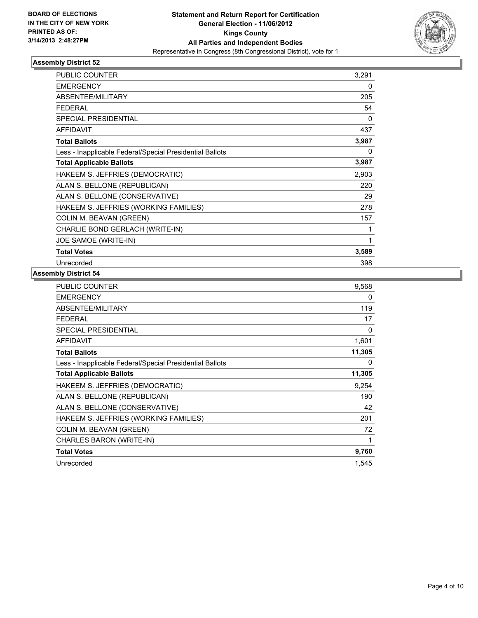

| <b>PUBLIC COUNTER</b>                                    | 3,291 |
|----------------------------------------------------------|-------|
| <b>EMERGENCY</b>                                         | 0     |
| ABSENTEE/MILITARY                                        | 205   |
| <b>FEDERAL</b>                                           | 54    |
| <b>SPECIAL PRESIDENTIAL</b>                              | 0     |
| <b>AFFIDAVIT</b>                                         | 437   |
| <b>Total Ballots</b>                                     | 3,987 |
| Less - Inapplicable Federal/Special Presidential Ballots | 0     |
| <b>Total Applicable Ballots</b>                          | 3,987 |
| HAKEEM S. JEFFRIES (DEMOCRATIC)                          | 2,903 |
| ALAN S. BELLONE (REPUBLICAN)                             | 220   |
| ALAN S. BELLONE (CONSERVATIVE)                           | 29    |
| HAKEEM S. JEFFRIES (WORKING FAMILIES)                    | 278   |
| COLIN M. BEAVAN (GREEN)                                  | 157   |
| CHARLIE BOND GERLACH (WRITE-IN)                          | 1     |
| JOE SAMOE (WRITE-IN)                                     | 1     |
| <b>Total Votes</b>                                       | 3,589 |
| Unrecorded                                               | 398   |

| PUBLIC COUNTER                                           | 9,568  |
|----------------------------------------------------------|--------|
| <b>EMERGENCY</b>                                         | 0      |
| ABSENTEE/MILITARY                                        | 119    |
| <b>FEDERAL</b>                                           | 17     |
| SPECIAL PRESIDENTIAL                                     | 0      |
| <b>AFFIDAVIT</b>                                         | 1,601  |
| <b>Total Ballots</b>                                     | 11,305 |
| Less - Inapplicable Federal/Special Presidential Ballots | 0      |
| <b>Total Applicable Ballots</b>                          | 11,305 |
| HAKEEM S. JEFFRIES (DEMOCRATIC)                          | 9,254  |
| ALAN S. BELLONE (REPUBLICAN)                             | 190    |
| ALAN S. BELLONE (CONSERVATIVE)                           | 42     |
| HAKEEM S. JEFFRIES (WORKING FAMILIES)                    | 201    |
| COLIN M. BEAVAN (GREEN)                                  | 72     |
| CHARLES BARON (WRITE-IN)                                 | 1      |
| <b>Total Votes</b>                                       | 9,760  |
| Unrecorded                                               | 1,545  |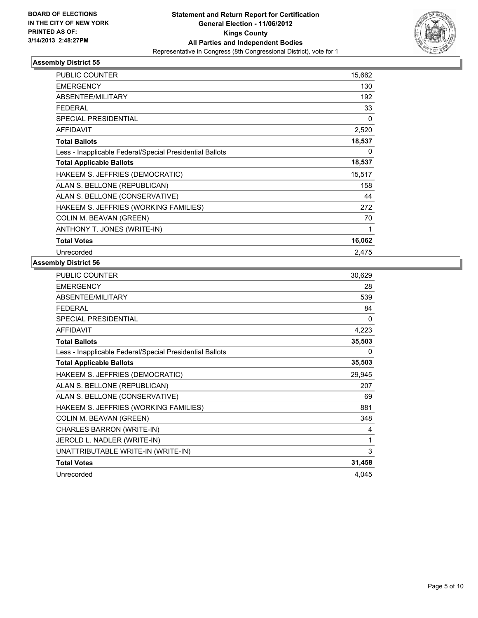

| <b>PUBLIC COUNTER</b>                                    | 15,662       |
|----------------------------------------------------------|--------------|
| <b>EMERGENCY</b>                                         | 130          |
| <b>ABSENTEE/MILITARY</b>                                 | 192          |
| <b>FEDERAL</b>                                           | 33           |
| SPECIAL PRESIDENTIAL                                     | $\mathbf{0}$ |
| <b>AFFIDAVIT</b>                                         | 2,520        |
| <b>Total Ballots</b>                                     | 18,537       |
| Less - Inapplicable Federal/Special Presidential Ballots | 0            |
| <b>Total Applicable Ballots</b>                          | 18,537       |
| HAKEEM S. JEFFRIES (DEMOCRATIC)                          | 15,517       |
| ALAN S. BELLONE (REPUBLICAN)                             | 158          |
| ALAN S. BELLONE (CONSERVATIVE)                           | 44           |
| HAKEEM S. JEFFRIES (WORKING FAMILIES)                    | 272          |
| COLIN M. BEAVAN (GREEN)                                  | 70           |
| ANTHONY T. JONES (WRITE-IN)                              | 1            |
| <b>Total Votes</b>                                       | 16,062       |
| Unrecorded                                               | 2,475        |

| 30,629 |
|--------|
| 28     |
| 539    |
| 84     |
| 0      |
| 4,223  |
| 35,503 |
| 0      |
| 35,503 |
| 29,945 |
| 207    |
| 69     |
| 881    |
| 348    |
| 4      |
| 1      |
| 3      |
| 31,458 |
| 4,045  |
|        |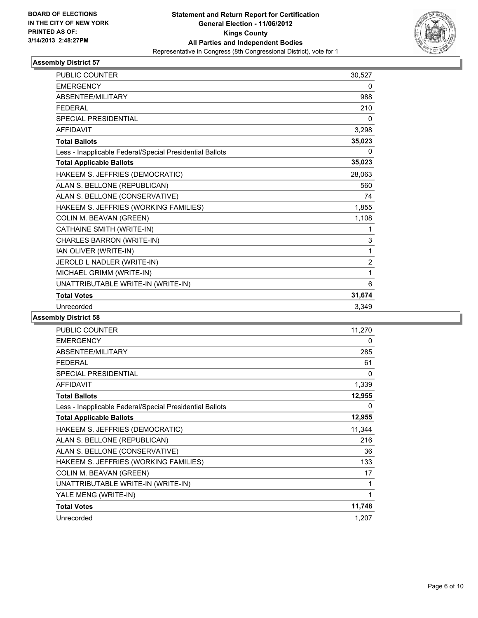

| <b>PUBLIC COUNTER</b>                                    | 30,527         |
|----------------------------------------------------------|----------------|
| <b>EMERGENCY</b>                                         | 0              |
| <b>ABSENTEE/MILITARY</b>                                 | 988            |
| <b>FFDFRAL</b>                                           | 210            |
| SPECIAL PRESIDENTIAL                                     | 0              |
| <b>AFFIDAVIT</b>                                         | 3,298          |
| <b>Total Ballots</b>                                     | 35,023         |
| Less - Inapplicable Federal/Special Presidential Ballots | 0              |
| <b>Total Applicable Ballots</b>                          | 35,023         |
| HAKEEM S. JEFFRIES (DEMOCRATIC)                          | 28,063         |
| ALAN S. BELLONE (REPUBLICAN)                             | 560            |
| ALAN S. BELLONE (CONSERVATIVE)                           | 74             |
| HAKEEM S. JEFFRIES (WORKING FAMILIES)                    | 1,855          |
| COLIN M. BEAVAN (GREEN)                                  | 1,108          |
| CATHAINE SMITH (WRITE-IN)                                |                |
| CHARLES BARRON (WRITE-IN)                                | $\mathsf 3$    |
| IAN OLIVER (WRITE-IN)                                    | 1              |
| JEROLD L NADLER (WRITE-IN)                               | $\overline{2}$ |
| MICHAEL GRIMM (WRITE-IN)                                 | 1              |
| UNATTRIBUTABLE WRITE-IN (WRITE-IN)                       | 6              |
| <b>Total Votes</b>                                       | 31,674         |
| Unrecorded                                               | 3,349          |

| <b>PUBLIC COUNTER</b>                                    | 11,270 |
|----------------------------------------------------------|--------|
| <b>EMERGENCY</b>                                         | 0      |
| ABSENTEE/MILITARY                                        | 285    |
| <b>FEDERAL</b>                                           | 61     |
| <b>SPECIAL PRESIDENTIAL</b>                              | 0      |
| <b>AFFIDAVIT</b>                                         | 1,339  |
| <b>Total Ballots</b>                                     | 12,955 |
| Less - Inapplicable Federal/Special Presidential Ballots | 0      |
| <b>Total Applicable Ballots</b>                          | 12,955 |
| HAKEEM S. JEFFRIES (DEMOCRATIC)                          | 11,344 |
| ALAN S. BELLONE (REPUBLICAN)                             | 216    |
| ALAN S. BELLONE (CONSERVATIVE)                           | 36     |
| HAKEEM S. JEFFRIES (WORKING FAMILIES)                    | 133    |
| COLIN M. BEAVAN (GREEN)                                  | 17     |
| UNATTRIBUTABLE WRITE-IN (WRITE-IN)                       | 1      |
| YALE MENG (WRITE-IN)                                     | 1      |
| <b>Total Votes</b>                                       | 11,748 |
| Unrecorded                                               | 1,207  |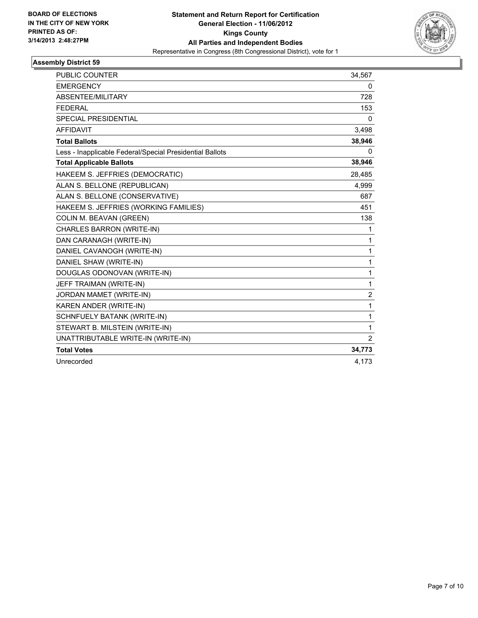

| <b>PUBLIC COUNTER</b>                                    | 34,567           |
|----------------------------------------------------------|------------------|
| <b>EMERGENCY</b>                                         | 0                |
| ABSENTEE/MILITARY                                        | 728              |
| <b>FEDERAL</b>                                           | 153              |
| <b>SPECIAL PRESIDENTIAL</b>                              | 0                |
| <b>AFFIDAVIT</b>                                         | 3,498            |
| <b>Total Ballots</b>                                     | 38,946           |
| Less - Inapplicable Federal/Special Presidential Ballots | 0                |
| <b>Total Applicable Ballots</b>                          | 38,946           |
| HAKEEM S. JEFFRIES (DEMOCRATIC)                          | 28,485           |
| ALAN S. BELLONE (REPUBLICAN)                             | 4,999            |
| ALAN S. BELLONE (CONSERVATIVE)                           | 687              |
| HAKEEM S. JEFFRIES (WORKING FAMILIES)                    | 451              |
| COLIN M. BEAVAN (GREEN)                                  | 138              |
| CHARLES BARRON (WRITE-IN)                                | 1                |
| DAN CARANAGH (WRITE-IN)                                  | 1                |
| DANIEL CAVANOGH (WRITE-IN)                               | $\mathbf{1}$     |
| DANIEL SHAW (WRITE-IN)                                   | 1                |
| DOUGLAS ODONOVAN (WRITE-IN)                              | 1                |
| JEFF TRAIMAN (WRITE-IN)                                  | 1                |
| JORDAN MAMET (WRITE-IN)                                  | $\boldsymbol{2}$ |
| KAREN ANDER (WRITE-IN)                                   | 1                |
| SCHNFUELY BATANK (WRITE-IN)                              | 1                |
| STEWART B. MILSTEIN (WRITE-IN)                           | 1                |
| UNATTRIBUTABLE WRITE-IN (WRITE-IN)                       | 2                |
| <b>Total Votes</b>                                       | 34,773           |
| Unrecorded                                               | 4,173            |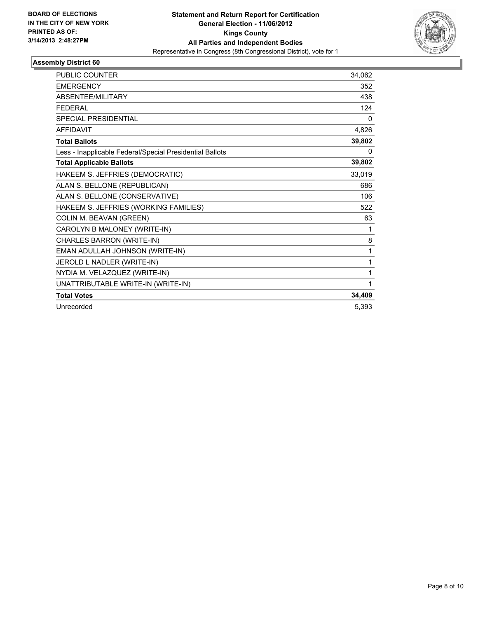

| <b>PUBLIC COUNTER</b>                                    | 34,062   |
|----------------------------------------------------------|----------|
| <b>EMERGENCY</b>                                         | 352      |
| ABSENTEE/MILITARY                                        | 438      |
| <b>FEDERAL</b>                                           | 124      |
| <b>SPECIAL PRESIDENTIAL</b>                              | $\Omega$ |
| <b>AFFIDAVIT</b>                                         | 4,826    |
| <b>Total Ballots</b>                                     | 39,802   |
| Less - Inapplicable Federal/Special Presidential Ballots | $\Omega$ |
| <b>Total Applicable Ballots</b>                          | 39,802   |
| HAKEEM S. JEFFRIES (DEMOCRATIC)                          | 33,019   |
| ALAN S. BELLONE (REPUBLICAN)                             | 686      |
| ALAN S. BELLONE (CONSERVATIVE)                           | 106      |
| HAKEEM S. JEFFRIES (WORKING FAMILIES)                    | 522      |
| COLIN M. BEAVAN (GREEN)                                  | 63       |
| CAROLYN B MALONEY (WRITE-IN)                             | 1        |
| CHARLES BARRON (WRITE-IN)                                | 8        |
| EMAN ADULLAH JOHNSON (WRITE-IN)                          | 1        |
| JEROLD L NADLER (WRITE-IN)                               | 1        |
| NYDIA M. VELAZQUEZ (WRITE-IN)                            | 1        |
| UNATTRIBUTABLE WRITE-IN (WRITE-IN)                       | 1        |
| <b>Total Votes</b>                                       | 34,409   |
| Unrecorded                                               | 5,393    |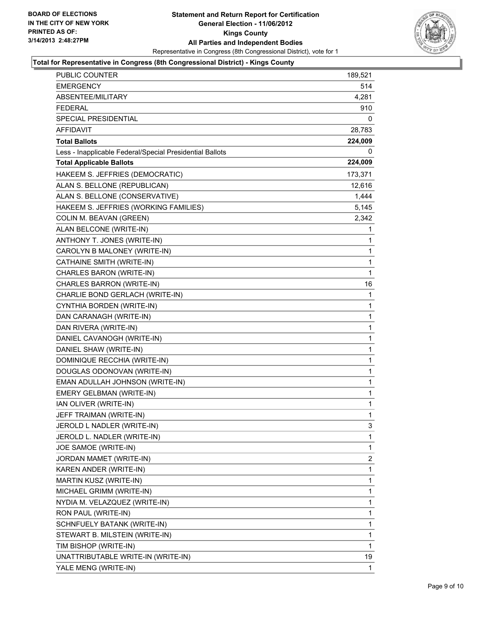

# **Total for Representative in Congress (8th Congressional District) - Kings County**

| <b>PUBLIC COUNTER</b>                                    | 189,521      |
|----------------------------------------------------------|--------------|
| EMERGENCY                                                | 514          |
| ABSENTEE/MILITARY                                        | 4,281        |
| <b>FEDERAL</b>                                           | 910          |
| SPECIAL PRESIDENTIAL                                     | 0            |
| AFFIDAVIT                                                | 28,783       |
| <b>Total Ballots</b>                                     | 224,009      |
| Less - Inapplicable Federal/Special Presidential Ballots | 0            |
| <b>Total Applicable Ballots</b>                          | 224,009      |
| HAKEEM S. JEFFRIES (DEMOCRATIC)                          | 173,371      |
| ALAN S. BELLONE (REPUBLICAN)                             | 12,616       |
| ALAN S. BELLONE (CONSERVATIVE)                           | 1,444        |
| HAKEEM S. JEFFRIES (WORKING FAMILIES)                    | 5,145        |
| COLIN M. BEAVAN (GREEN)                                  | 2,342        |
| ALAN BELCONE (WRITE-IN)                                  | 1            |
| ANTHONY T. JONES (WRITE-IN)                              | 1            |
| CAROLYN B MALONEY (WRITE-IN)                             | 1            |
| CATHAINE SMITH (WRITE-IN)                                | 1            |
| CHARLES BARON (WRITE-IN)                                 | 1            |
| CHARLES BARRON (WRITE-IN)                                | 16           |
| CHARLIE BOND GERLACH (WRITE-IN)                          | 1            |
| CYNTHIA BORDEN (WRITE-IN)                                | 1            |
| DAN CARANAGH (WRITE-IN)                                  | 1            |
| DAN RIVERA (WRITE-IN)                                    | 1            |
| DANIEL CAVANOGH (WRITE-IN)                               | 1            |
| DANIEL SHAW (WRITE-IN)                                   | 1            |
| DOMINIQUE RECCHIA (WRITE-IN)                             | 1            |
| DOUGLAS ODONOVAN (WRITE-IN)                              | 1            |
| EMAN ADULLAH JOHNSON (WRITE-IN)                          | 1            |
| EMERY GELBMAN (WRITE-IN)                                 | 1            |
| IAN OLIVER (WRITE-IN)                                    | 1            |
| JEFF TRAIMAN (WRITE-IN)                                  | $\mathbf{1}$ |
| JEROLD L NADLER (WRITE-IN)                               | 3            |
| JEROLD L. NADLER (WRITE-IN)                              | 1            |
| JOE SAMOE (WRITE-IN)                                     | 1            |
| JORDAN MAMET (WRITE-IN)                                  | 2            |
| KAREN ANDER (WRITE-IN)                                   | 1            |
| MARTIN KUSZ (WRITE-IN)                                   | 1            |
| MICHAEL GRIMM (WRITE-IN)                                 | 1            |
| NYDIA M. VELAZQUEZ (WRITE-IN)                            | 1            |
| RON PAUL (WRITE-IN)                                      | 1            |
| SCHNFUELY BATANK (WRITE-IN)                              | 1            |
| STEWART B. MILSTEIN (WRITE-IN)                           | 1            |
| TIM BISHOP (WRITE-IN)                                    | 1            |
| UNATTRIBUTABLE WRITE-IN (WRITE-IN)                       | 19           |
| YALE MENG (WRITE-IN)                                     | 1            |